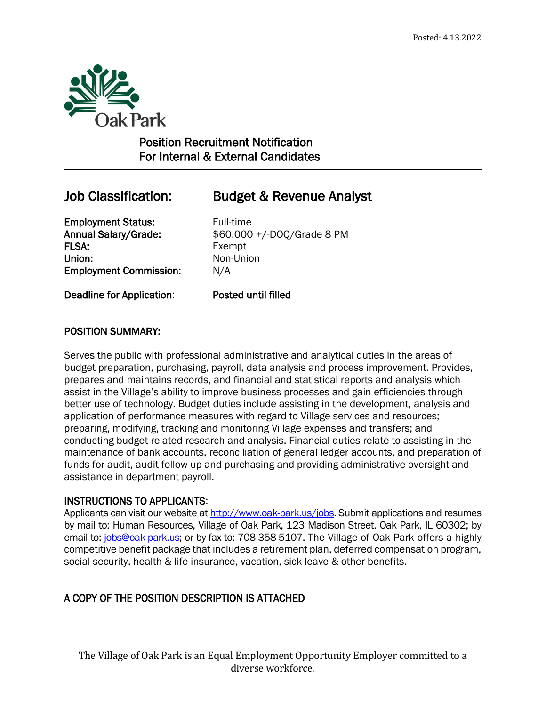

# Position Recruitment Notification For Internal & External Candidates

 $\overline{a}$ 

# Job Classification: Budget & Revenue Analyst

**Employment Status:** Full-time FLSA: Exempt Union: Non-Union Employment Commission: N/A

Annual Salary/Grade: \$60,000 +/-DOQ/Grade 8 PM

Deadline for Application: Posted until filled

## POSITION SUMMARY:

Serves the public with professional administrative and analytical duties in the areas of budget preparation, purchasing, payroll, data analysis and process improvement. Provides, prepares and maintains records, and financial and statistical reports and analysis which assist in the Village's ability to improve business processes and gain efficiencies through better use of technology. Budget duties include assisting in the development, analysis and application of performance measures with regard to Village services and resources; preparing, modifying, tracking and monitoring Village expenses and transfers; and conducting budget-related research and analysis. Financial duties relate to assisting in the maintenance of bank accounts, reconciliation of general ledger accounts, and preparation of funds for audit, audit follow-up and purchasing and providing administrative oversight and assistance in department payroll.

## INSTRUCTIONS TO APPLICANTS:

Applicants can visit our website a[t http://www.oak-park.us/j](http://www.oak-park.us/)obs. Submit applications and resumes by mail to: Human Resources, Village of Oak Park, 123 Madison Street, Oak Park, IL 60302; by email to: [jobs@oak-park.us;](mailto:jobs@oak-park.us) or by fax to: 708-358-5107. The Village of Oak Park offers a highly competitive benefit package that includes a retirement plan, deferred compensation program, social security, health & life insurance, vacation, sick leave & other benefits.

# A COPY OF THE POSITION DESCRIPTION IS ATTACHED

The Village of Oak Park is an Equal Employment Opportunity Employer committed to a diverse workforce.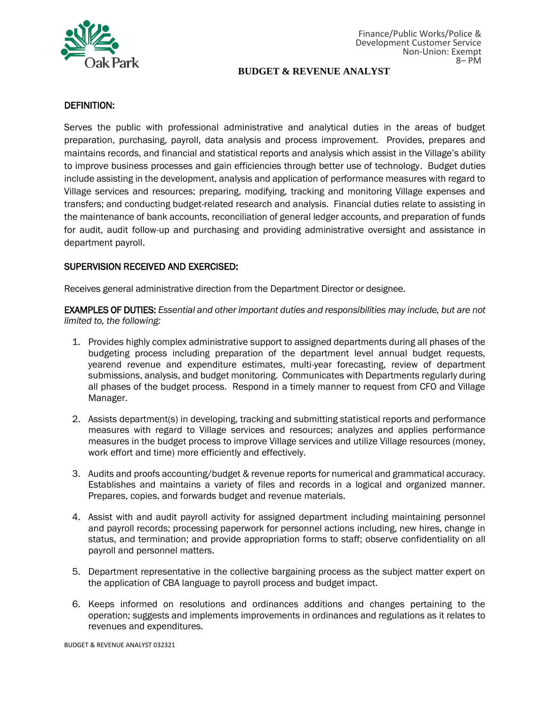

#### DEFINITION:

Serves the public with professional administrative and analytical duties in the areas of budget preparation, purchasing, payroll, data analysis and process improvement. Provides, prepares and maintains records, and financial and statistical reports and analysis which assist in the Village's ability to improve business processes and gain efficiencies through better use of technology. Budget duties include assisting in the development, analysis and application of performance measures with regard to Village services and resources; preparing, modifying, tracking and monitoring Village expenses and transfers; and conducting budget-related research and analysis. Financial duties relate to assisting in the maintenance of bank accounts, reconciliation of general ledger accounts, and preparation of funds for audit, audit follow-up and purchasing and providing administrative oversight and assistance in department payroll.

### SUPERVISION RECEIVED AND EXERCISED:

Receives general administrative direction from the Department Director or designee.

EXAMPLES OF DUTIES: *Essential and other important duties and responsibilities may include, but are not limited to, the following:*

- 1. Provides highly complex administrative support to assigned departments during all phases of the budgeting process including preparation of the department level annual budget requests, yearend revenue and expenditure estimates, multi-year forecasting, review of department submissions, analysis, and budget monitoring. Communicates with Departments regularly during all phases of the budget process. Respond in a timely manner to request from CFO and Village Manager.
- 2. Assists department(s) in developing, tracking and submitting statistical reports and performance measures with regard to Village services and resources; analyzes and applies performance measures in the budget process to improve Village services and utilize Village resources (money, work effort and time) more efficiently and effectively.
- 3. Audits and proofs accounting/budget & revenue reports for numerical and grammatical accuracy. Establishes and maintains a variety of files and records in a logical and organized manner. Prepares, copies, and forwards budget and revenue materials.
- 4. Assist with and audit payroll activity for assigned department including maintaining personnel and payroll records; processing paperwork for personnel actions including, new hires, change in status, and termination; and provide appropriation forms to staff; observe confidentiality on all payroll and personnel matters.
- 5. Department representative in the collective bargaining process as the subject matter expert on the application of CBA language to payroll process and budget impact.
- 6. Keeps informed on resolutions and ordinances additions and changes pertaining to the operation; suggests and implements improvements in ordinances and regulations as it relates to revenues and expenditures.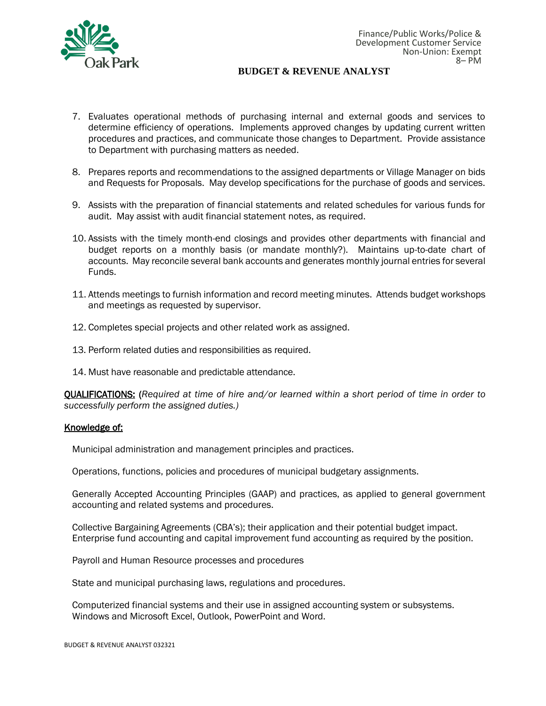

- 7. Evaluates operational methods of purchasing internal and external goods and services to determine efficiency of operations. Implements approved changes by updating current written procedures and practices, and communicate those changes to Department. Provide assistance to Department with purchasing matters as needed.
- 8. Prepares reports and recommendations to the assigned departments or Village Manager on bids and Requests for Proposals. May develop specifications for the purchase of goods and services.
- 9. Assists with the preparation of financial statements and related schedules for various funds for audit. May assist with audit financial statement notes, as required.
- 10. Assists with the timely month-end closings and provides other departments with financial and budget reports on a monthly basis (or mandate monthly?). Maintains up-to-date chart of accounts. May reconcile several bank accounts and generates monthly journal entries for several Funds.
- 11. Attends meetings to furnish information and record meeting minutes. Attends budget workshops and meetings as requested by supervisor.
- 12. Completes special projects and other related work as assigned.
- 13. Perform related duties and responsibilities as required.
- 14. Must have reasonable and predictable attendance.

QUALIFICATIONS: (*Required at time of hire and/or learned within a short period of time in order to successfully perform the assigned duties.)*

#### Knowledge of:

Municipal administration and management principles and practices.

Operations, functions, policies and procedures of municipal budgetary assignments.

Generally Accepted Accounting Principles (GAAP) and practices, as applied to general government accounting and related systems and procedures.

Collective Bargaining Agreements (CBA's); their application and their potential budget impact. Enterprise fund accounting and capital improvement fund accounting as required by the position.

Payroll and Human Resource processes and procedures

State and municipal purchasing laws, regulations and procedures.

Computerized financial systems and their use in assigned accounting system or subsystems. Windows and Microsoft Excel, Outlook, PowerPoint and Word.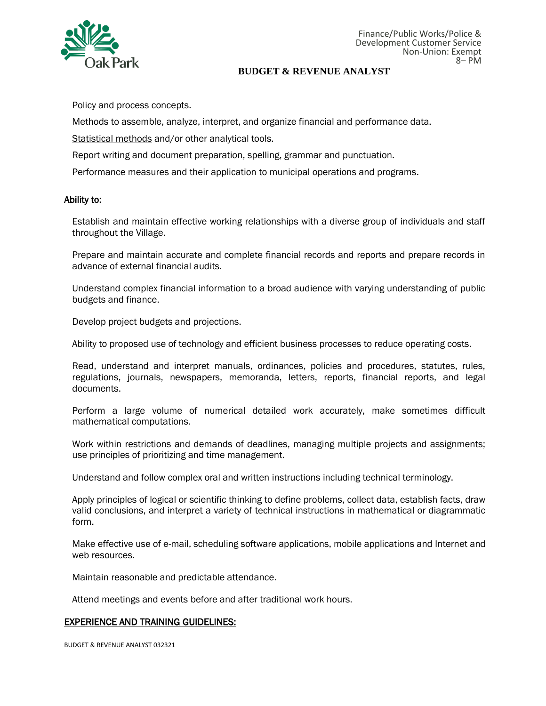

Policy and process concepts.

Methods to assemble, analyze, interpret, and organize financial and performance data.

Statistical methods and/or other analytical tools.

Report writing and document preparation, spelling, grammar and punctuation.

Performance measures and their application to municipal operations and programs.

#### Ability to:

Establish and maintain effective working relationships with a diverse group of individuals and staff throughout the Village.

Prepare and maintain accurate and complete financial records and reports and prepare records in advance of external financial audits.

Understand complex financial information to a broad audience with varying understanding of public budgets and finance.

Develop project budgets and projections.

Ability to proposed use of technology and efficient business processes to reduce operating costs.

Read, understand and interpret manuals, ordinances, policies and procedures, statutes, rules, regulations, journals, newspapers, memoranda, letters, reports, financial reports, and legal documents.

Perform a large volume of numerical detailed work accurately, make sometimes difficult mathematical computations.

Work within restrictions and demands of deadlines, managing multiple projects and assignments; use principles of prioritizing and time management.

Understand and follow complex oral and written instructions including technical terminology.

Apply principles of logical or scientific thinking to define problems, collect data, establish facts, draw valid conclusions, and interpret a variety of technical instructions in mathematical or diagrammatic form.

Make effective use of e-mail, scheduling software applications, mobile applications and Internet and web resources.

Maintain reasonable and predictable attendance.

Attend meetings and events before and after traditional work hours.

#### EXPERIENCE AND TRAINING GUIDELINES:

BUDGET & REVENUE ANALYST 032321